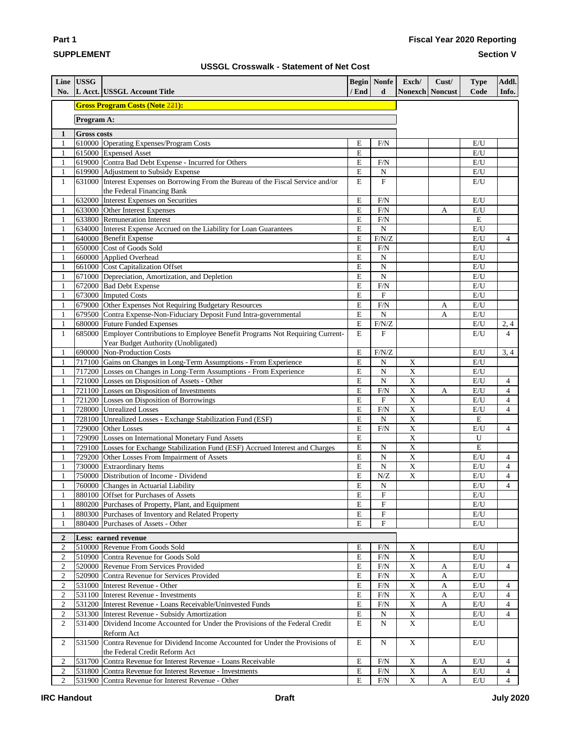## **SUPPLEMENT**

**Part 1**

### **Section V**

|  | <b>USSGL Crosswalk - Statement of Net Cost</b> |  |  |  |
|--|------------------------------------------------|--|--|--|
|--|------------------------------------------------|--|--|--|

| No.                          | Line USSG          | L Acct. USSGL Account Title                                                                                        | / End     | <b>Begin</b> Nonfe<br>d | Exch/<br><b>Nonexch Noncust</b>        | Cust/ | <b>Type</b><br>Code            | Addl.<br>Info.                   |
|------------------------------|--------------------|--------------------------------------------------------------------------------------------------------------------|-----------|-------------------------|----------------------------------------|-------|--------------------------------|----------------------------------|
|                              |                    | <b>Gross Program Costs (Note 221):</b>                                                                             |           |                         |                                        |       |                                |                                  |
|                              | Program A:         |                                                                                                                    |           |                         |                                        |       |                                |                                  |
| 1                            | <b>Gross costs</b> |                                                                                                                    |           |                         |                                        |       |                                |                                  |
| 1                            |                    | 610000 Operating Expenses/Program Costs                                                                            | E         | F/N                     |                                        |       | E/U                            |                                  |
| $\mathbf{1}$                 |                    | 615000 Expensed Asset                                                                                              | E         |                         |                                        |       | E/U                            |                                  |
| $\mathbf{1}$                 |                    | 619000 Contra Bad Debt Expense - Incurred for Others                                                               | E         | F/N                     |                                        |       | $\rm E/U$                      |                                  |
| $\mathbf{1}$                 |                    | 619900 Adjustment to Subsidy Expense                                                                               | E         | N                       |                                        |       | E/U                            |                                  |
| $\mathbf{1}$                 |                    | 631000 Interest Expenses on Borrowing From the Bureau of the Fiscal Service and/or                                 | E         | $\mathbf{F}$            |                                        |       | E/U                            |                                  |
| $\mathbf{1}$                 |                    | the Federal Financing Bank<br>632000 Interest Expenses on Securities                                               | E         | F/N                     |                                        |       | E/U                            |                                  |
| $\mathbf{1}$                 |                    | 633000 Other Interest Expenses                                                                                     | E         | F/N                     |                                        | A     | $\mathrm{E}/\mathrm{U}$        |                                  |
| $\mathbf{1}$                 |                    | 633800 Remuneration Interest                                                                                       | E         | F/N                     |                                        |       | ${\bf E}$                      |                                  |
| $\mathbf{1}$                 |                    | 634000 Interest Expense Accrued on the Liability for Loan Guarantees                                               | E         | $\mathbf N$             |                                        |       | E/U                            |                                  |
| $\mathbf{1}$                 |                    | 640000 Benefit Expense                                                                                             | E         | F/N/Z                   |                                        |       | E/U                            | $\overline{4}$                   |
| $\mathbf{1}$                 |                    | 650000 Cost of Goods Sold                                                                                          | E         | F/N                     |                                        |       | $\mathrm{E}/\mathrm{U}$        |                                  |
| $\mathbf{1}$                 |                    | 660000 Applied Overhead                                                                                            | Ε         | N                       |                                        |       | $\mathbf{E}/\mathbf{U}$        |                                  |
| $\mathbf{1}$                 |                    | 661000 Cost Capitalization Offset                                                                                  | E         | $\mathbf N$             |                                        |       | E/U                            |                                  |
| $\mathbf{1}$                 |                    | 671000 Depreciation, Amortization, and Depletion                                                                   | E         | $\mathbf N$             |                                        |       | $\mathbf{E}/\mathbf{U}$        |                                  |
| $\mathbf{1}$                 |                    | 672000 Bad Debt Expense                                                                                            | E         | F/N                     |                                        |       | $\mathrm{E}/\mathrm{U}$        |                                  |
| $\mathbf{1}$                 |                    | 673000 Imputed Costs                                                                                               | E         | ${\bf F}$               |                                        |       | $\mathrm{E}/\mathrm{U}$        |                                  |
| $\mathbf{1}$                 |                    | 679000 Other Expenses Not Requiring Budgetary Resources                                                            | E         | F/N                     |                                        | A     | E/U                            |                                  |
| $\mathbf{1}$                 |                    | 679500 Contra Expense-Non-Fiduciary Deposit Fund Intra-governmental                                                | E         | $\mathbf N$<br>F/N/Z    |                                        | A     | E/U                            |                                  |
| $\mathbf{1}$<br>$\mathbf{1}$ |                    | 680000 Future Funded Expenses<br>685000 Employer Contributions to Employee Benefit Programs Not Requiring Current- | E<br>E    | F                       |                                        |       | E/U<br>E/U                     | 2,4<br>$\overline{4}$            |
|                              |                    | Year Budget Authority (Unobligated)                                                                                |           |                         |                                        |       |                                |                                  |
| 1                            |                    | 690000 Non-Production Costs                                                                                        | E         | F/N/Z                   |                                        |       | E/U                            | 3, 4                             |
| $\mathbf{1}$                 |                    | 717100 Gains on Changes in Long-Term Assumptions - From Experience                                                 | ${\bf E}$ | $\mathbf N$             | $\mathbf X$                            |       | $\mathbf{E}/\mathbf{U}$        |                                  |
| $\mathbf{1}$                 |                    | 717200 Losses on Changes in Long-Term Assumptions - From Experience                                                | E         | $\mathbf N$             | $\mathbf X$                            |       | $\mathrm{E}/\mathrm{U}$        |                                  |
| $\mathbf{1}$                 |                    | 721000 Losses on Disposition of Assets - Other                                                                     | E         | $\overline{N}$          | $\overline{\mathrm{x}}$                |       | $\mathrm{E}/\mathrm{U}$        | $\overline{4}$                   |
| $\mathbf{1}$                 |                    | 721100 Losses on Disposition of Investments                                                                        | E         | F/N                     | $\overline{\mathbf{X}}$                | A     | E/U                            | $\overline{4}$                   |
| $\mathbf{1}$                 |                    | 721200 Losses on Disposition of Borrowings                                                                         | E         | F                       | $\bar{X}$                              |       | E/U                            | $\overline{4}$                   |
| $\mathbf{1}$                 |                    | 728000 Unrealized Losses                                                                                           | E         | F/N                     | $\mathbf X$                            |       | E/U                            | $\overline{4}$                   |
| $\mathbf{1}$                 |                    | 728100 Unrealized Losses - Exchange Stabilization Fund (ESF)                                                       | E         | ${\bf N}$               | $\mathbf X$                            |       | ${\bf E}$                      |                                  |
| 1                            |                    | 729000 Other Losses                                                                                                | E         | F/N                     | $\mathbf X$                            |       | E/U                            | $\overline{4}$                   |
| 1                            |                    | 729090 Losses on International Monetary Fund Assets                                                                | E         |                         | $\mathbf X$                            |       | U                              |                                  |
| $\,1$                        |                    | 729100 Losses for Exchange Stabilization Fund (ESF) Accrued Interest and Charges                                   | E,<br>E   | $\overline{\rm N}$      | $\overline{\textbf{X}}$<br>$\mathbf X$ |       | ${\bf E}$                      |                                  |
| $\mathbf{1}$<br>$\mathbf{1}$ |                    | 729200 Other Losses From Impairment of Assets<br>730000 Extraordinary Items                                        | E         | ${\bf N}$<br>${\bf N}$  | $\overline{\mathbf{X}}$                |       | $\mathrm{E}/\mathrm{U}$<br>E/U | $\overline{4}$<br>$\overline{4}$ |
| $\mathbf{1}$                 |                    | 750000 Distribution of Income - Dividend                                                                           | E         | N/Z                     | $\mathbf X$                            |       | E/U                            | $\overline{4}$                   |
| $\mathbf{1}$                 |                    | 760000 Changes in Actuarial Liability                                                                              | E         | $\mathbf N$             |                                        |       | $\mathrm{E}/\mathrm{U}$        | $\overline{4}$                   |
| $\mathbf{1}$                 |                    | 880100 Offset for Purchases of Assets                                                                              | E         | $\rm F$                 |                                        |       | E/U                            |                                  |
| 1                            |                    | 880200 Purchases of Property, Plant, and Equipment                                                                 | E         | $_{\rm F}$              |                                        |       | E/U                            |                                  |
| 1                            |                    | 880300 Purchases of Inventory and Related Property                                                                 | Е         | $\mathbf F$             |                                        |       | E/U                            |                                  |
| 1                            |                    | 880400 Purchases of Assets - Other                                                                                 | E         | $\mathbf F$             |                                        |       | E/U                            |                                  |
| $\overline{2}$               |                    | Less: earned revenue                                                                                               |           |                         |                                        |       |                                |                                  |
| $\mathbf{2}$                 |                    | 510000 Revenue From Goods Sold                                                                                     | E         | F/N                     | $\mathbf X$                            |       | E/U                            |                                  |
| $\mathbf{2}$                 |                    | 510900 Contra Revenue for Goods Sold                                                                               | E         | F/N                     | $\overline{\mathbf{X}}$                |       | E/U                            |                                  |
| $\mathfrak{2}$               |                    | 520000 Revenue From Services Provided                                                                              | E         | F/N                     | $\mathbf X$                            | A     | E/U                            | $\overline{4}$                   |
| $\mathfrak{2}$               |                    | 520900 Contra Revenue for Services Provided                                                                        | E         | F/N                     | $\mathbf X$                            | A     | E/U                            |                                  |
| $\mathfrak{2}$               |                    | 531000 Interest Revenue - Other                                                                                    | E         | F/N                     | $\mathbf X$                            | A     | E/U                            | $\overline{4}$                   |
| $\sqrt{2}$                   |                    | 531100 Interest Revenue - Investments                                                                              | E         | F/N                     | $\mathbf X$                            | A     | E/U                            | $\overline{4}$                   |
| $\boldsymbol{2}$             |                    | 531200   Interest Revenue - Loans Receivable/Uninvested Funds                                                      | E         | F/N                     | $\mathbf X$                            | A     | E/U                            | $\overline{4}$                   |
| $\sqrt{2}$                   |                    | 531300 Interest Revenue - Subsidy Amortization                                                                     | E         | N                       | $\mathbf X$                            |       | E/U                            | $\overline{4}$                   |
| $\overline{2}$               |                    | 531400 Dividend Income Accounted for Under the Provisions of the Federal Credit<br>Reform Act                      | E         | $\mathbf N$             | X                                      |       | E/U                            |                                  |
| 2                            |                    | 531500 Contra Revenue for Dividend Income Accounted for Under the Provisions of                                    | E         | N                       | $\mathbf X$                            |       | E/U                            |                                  |
|                              |                    | the Federal Credit Reform Act                                                                                      |           |                         |                                        |       |                                |                                  |
| 2                            |                    | 531700 Contra Revenue for Interest Revenue - Loans Receivable                                                      | Е         | F/N                     | $\mathbf X$                            | A     | $\mathbf{E}/\mathbf{U}$        | $\overline{4}$                   |
| $\mathbf{2}$                 |                    | 531800 Contra Revenue for Interest Revenue - Investments                                                           | E         | F/N                     | $\mathbf X$                            | A     | E/U                            | $\overline{4}$                   |
| 2                            |                    | 531900 Contra Revenue for Interest Revenue - Other                                                                 | E         | F/N                     | $\mathbf X$                            | A     | $\rm E/U$                      | $\overline{4}$                   |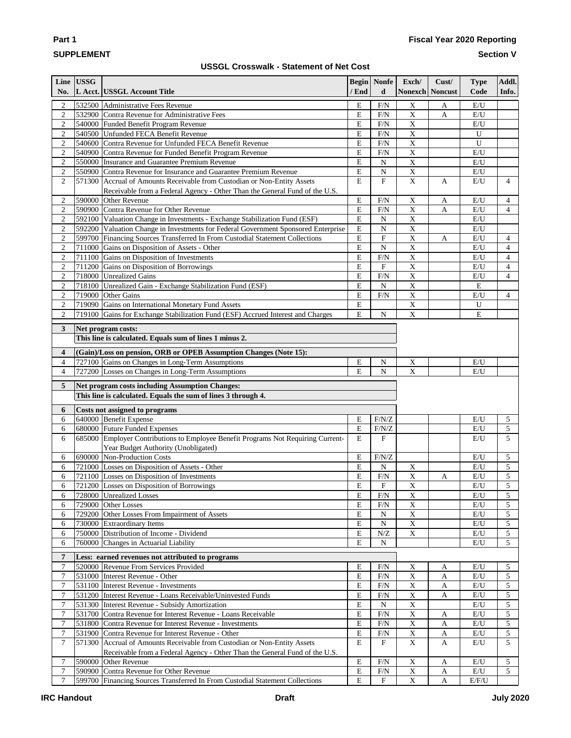# **SUPPLEMENT**

**Part 1**

## **Fiscal Year 2020 Reporting**

**Section V**

## **USSGL Crosswalk - Statement of Net Cost**

|                                    | Line USSG |                                                                                                                                |                                    | <b>Begin</b> Nonfe        | Exch/                                   | Cust/                       | <b>Type</b>             | Addl.               |
|------------------------------------|-----------|--------------------------------------------------------------------------------------------------------------------------------|------------------------------------|---------------------------|-----------------------------------------|-----------------------------|-------------------------|---------------------|
| No.                                |           | L Acct. USSGL Account Title                                                                                                    | / End                              | d                         | <b>Nonexch Noncust</b>                  |                             | Code                    | Info.               |
| $\boldsymbol{2}$                   |           | 532500 Administrative Fees Revenue                                                                                             | E                                  | $F/N$                     | $\mathbf X$                             | A                           | E/U                     |                     |
| $\mathbf{2}$                       |           | 532900 Contra Revenue for Administrative Fees                                                                                  | E                                  | F/N                       | $\overline{X}$                          | $\mathbf{A}$                | E/U                     |                     |
| $\boldsymbol{2}$                   |           | 540000 Funded Benefit Program Revenue                                                                                          | ${\bf E}$                          | $\rm F/N$                 | $\overline{X}$                          |                             | $\mathbf{E}/\mathbf{U}$ |                     |
| $\mathfrak{2}$                     |           | 540500 Unfunded FECA Benefit Revenue                                                                                           | E                                  | F/N                       | X                                       |                             | U                       |                     |
| $\mathfrak{2}$                     |           | 540600 Contra Revenue for Unfunded FECA Benefit Revenue                                                                        | ${\bf E}$                          | F/N                       | X                                       |                             | $\mathbf U$             |                     |
| $\mathfrak{2}$                     |           | 540900 Contra Revenue for Funded Benefit Program Revenue                                                                       | E                                  | F/N                       | $\mathbf X$                             |                             | E/U                     |                     |
| $\mathbf{2}$                       |           | 550000 Insurance and Guarantee Premium Revenue                                                                                 | E                                  | ${\bf N}$                 | $\mathbf X$                             |                             | $\mathbf{E}/\mathbf{U}$ |                     |
| $\sqrt{2}$                         |           | 550900 Contra Revenue for Insurance and Guarantee Premium Revenue                                                              | E                                  | ${\bf N}$                 | $\mathbf X$                             |                             | $\mathbf{E}/\mathbf{U}$ |                     |
| $\mathfrak{2}$                     |           | 571300 Accrual of Amounts Receivable from Custodian or Non-Entity Assets                                                       | E                                  | $\boldsymbol{\mathrm{F}}$ | $\mathbf X$                             | $\mathbf{A}$                | E/U                     | $\overline{4}$      |
| 2                                  |           | Receivable from a Federal Agency - Other Than the General Fund of the U.S.<br>590000 Other Revenue                             | E                                  | F/N                       | $\boldsymbol{\mathrm{X}}$               | A                           | E/U                     | $\overline{4}$      |
| $\boldsymbol{2}$                   |           | 590900 Contra Revenue for Other Revenue                                                                                        | ${\bf E}$                          | F/N                       | $\overline{X}$                          | $\mathbf{A}$                | $\mathbf{E}/\mathbf{U}$ | $\overline{4}$      |
| $\sqrt{2}$                         |           | 592100 Valuation Change in Investments - Exchange Stabilization Fund (ESF)                                                     | $\mathbf E$                        | ${\bf N}$                 | $\mathbf X$                             |                             | $\mathbf{E}/\mathbf{U}$ |                     |
| $\sqrt{2}$                         |           | 592200 Valuation Change in Investments for Federal Government Sponsored Enterprise                                             | ${\bf E}$                          | ${\bf N}$                 | $\boldsymbol{\mathrm{X}}$               |                             | E/U                     |                     |
| $\mathbf{2}$                       |           | 599700 Financing Sources Transferred In From Custodial Statement Collections                                                   | ${\bf E}$                          | $\mathbf F$               | $\mathbf X$                             | $\mathbf{A}$                | E/U                     | $\overline{4}$      |
| $\mathbf{2}$                       |           | 711000 Gains on Disposition of Assets - Other                                                                                  | ${\bf E}$                          | ${\bf N}$                 | $\overline{\textbf{X}}$                 |                             | $\mathbf{E}/\mathbf{U}$ | $\overline{4}$      |
| $\boldsymbol{2}$                   |           | 711100 Gains on Disposition of Investments                                                                                     | ${\bf E}$                          | F/N                       | $\mathbf X$                             |                             | $\mathbf{E}/\mathbf{U}$ | $\overline{4}$      |
| $\sqrt{2}$                         |           | 711200 Gains on Disposition of Borrowings                                                                                      | $\mathbf E$                        | $\mathbf F$               | $\overline{X}$                          |                             | E/U                     | $\overline{4}$      |
| $\sqrt{2}$                         |           | 718000 Unrealized Gains                                                                                                        | ${\bf E}$                          | $\rm{F}\!/\rm{N}$         | $\overline{\mathbf{X}}$                 |                             | E/U                     | $\overline{4}$      |
| $\sqrt{2}$                         |           | 718100 Unrealized Gain - Exchange Stabilization Fund (ESF)                                                                     | E                                  | $\mathbf N$               | $\overline{X}$                          |                             | E                       |                     |
| $\sqrt{2}$                         |           | 719000 Other Gains                                                                                                             | ${\bf E}$                          | F/N                       | $\overline{\mathbf{X}}$                 |                             | E/U                     | 4                   |
| $\mathbf{2}$                       |           | 719090 Gains on International Monetary Fund Assets                                                                             | ${\bf E}$                          |                           | $\mathbf X$                             |                             | U                       |                     |
| $\overline{c}$                     |           | 719100 Gains for Exchange Stabilization Fund (ESF) Accrued Interest and Charges                                                | E                                  | ${\bf N}$                 | $\mathbf X$                             |                             | E                       |                     |
|                                    |           |                                                                                                                                |                                    |                           |                                         |                             |                         |                     |
| 3                                  |           | Net program costs:<br>This line is calculated. Equals sum of lines 1 minus 2.                                                  |                                    |                           |                                         |                             |                         |                     |
|                                    |           |                                                                                                                                |                                    |                           |                                         |                             |                         |                     |
| 4                                  |           | (Gain)/Loss on pension, ORB or OPEB Assumption Changes (Note 15):                                                              |                                    |                           |                                         |                             |                         |                     |
| 4                                  |           | 727100 Gains on Changes in Long-Term Assumptions                                                                               | E                                  | N                         | $\mathbf X$                             |                             | E/U                     |                     |
| $\overline{4}$                     |           | 727200 Losses on Changes in Long-Term Assumptions                                                                              | E                                  | ${\bf N}$                 | X                                       |                             | E/U                     |                     |
| 5                                  |           | Net program costs including Assumption Changes:                                                                                |                                    |                           |                                         |                             |                         |                     |
|                                    |           | This line is calculated. Equals the sum of lines 3 through 4.                                                                  |                                    |                           |                                         |                             |                         |                     |
| 6                                  |           | Costs not assigned to programs                                                                                                 |                                    |                           |                                         |                             |                         |                     |
| 6                                  |           | 640000 Benefit Expense                                                                                                         | Е                                  | F/N/Z                     |                                         |                             | E/U                     | $\mathfrak{S}$      |
| 6                                  |           | 680000 Future Funded Expenses                                                                                                  | Е                                  | $\rm F/N/Z$               |                                         |                             | $\mathbf{E}/\mathbf{U}$ | 5                   |
| 6                                  |           | 685000 Employer Contributions to Employee Benefit Programs Not Requiring Current-                                              | E                                  | ${\bf F}$                 |                                         |                             | $\mathbf{E}/\mathbf{U}$ | 5                   |
|                                    |           | Year Budget Authority (Unobligated)                                                                                            |                                    |                           |                                         |                             |                         |                     |
| 6                                  |           | 690000 Non-Production Costs                                                                                                    | E                                  | $\rm F/N/Z$               |                                         |                             | E/U                     | 5                   |
| 6                                  |           | 721000 Losses on Disposition of Assets - Other                                                                                 | E                                  | ${\bf N}$                 | $\mathbf X$                             |                             | $\rm E/U$               | 5                   |
| 6                                  |           | 721100 Losses on Disposition of Investments                                                                                    | ${\bf E}$                          | F/N                       | $\overline{X}$                          | A                           | E/U                     | 5                   |
| 6                                  |           | 721200 Losses on Disposition of Borrowings                                                                                     | E                                  | $\mathbf F$               | $\mathbf X$                             |                             | $\mathbf{E}/\mathbf{U}$ | 5                   |
| 6                                  |           | 728000 Unrealized Losses                                                                                                       | Е                                  | F/N                       | $\mathbf X$                             |                             | E/U                     | 5                   |
| 6                                  |           | 729000 Other Losses                                                                                                            | E                                  | F/N                       | $\mathbf X$                             |                             | E/U                     | 5                   |
| 6<br>6                             |           | 729200 Other Losses From Impairment of Assets<br>730000 Extraordinary Items                                                    | Е<br>${\bf E}$                     | $\mathbf N$<br>${\bf N}$  | $\mathbf X$<br>$\mathbf X$              |                             | E/U<br>E/U              | 5<br>5              |
| 6                                  |           | 750000 Distribution of Income - Dividend                                                                                       | ${\bf E}$                          | ${\bf N} / {\bf Z}$       | $\mathbf X$                             |                             | E/U                     | 5                   |
| 6                                  |           | 760000 Changes in Actuarial Liability                                                                                          | E                                  | ${\bf N}$                 |                                         |                             | E/U                     | 5 <sup>5</sup>      |
|                                    |           |                                                                                                                                |                                    |                           |                                         |                             |                         |                     |
| 7                                  |           | Less: earned revenues not attributed to programs                                                                               |                                    |                           |                                         |                             |                         |                     |
| $\boldsymbol{7}$                   |           | 520000 Revenue From Services Provided                                                                                          | Е                                  | F/N                       | $\mathbf X$                             | A                           | E/U                     | 5                   |
| $\tau$                             |           | 531000 Interest Revenue - Other                                                                                                | ${\bf E}$                          | F/N                       | $\mathbf X$                             | $\mathbf{A}$                | E/U                     | 5                   |
| $\tau$                             |           | 531100 Interest Revenue - Investments                                                                                          | Е                                  | F/N                       | $\mathbf X$                             | $\mathbf{A}$                | E/U                     | 5                   |
| $\tau$                             |           | 531200   Interest Revenue - Loans Receivable/Uninvested Funds                                                                  | E                                  | F/N                       | $\mathbf X$                             | $\mathbf A$                 | E/U                     | 5                   |
| 7                                  |           | 531300 Interest Revenue - Subsidy Amortization                                                                                 | E                                  | $\mathbf N$               | $\mathbf X$                             |                             | E/U                     | 5                   |
| 7                                  |           | 531700 Contra Revenue for Interest Revenue - Loans Receivable                                                                  | ${\bf E}$                          | F/N                       | $\mathbf X$                             | A                           | E/U                     | 5                   |
| $\tau$                             |           | 531800 Contra Revenue for Interest Revenue - Investments                                                                       | ${\bf E}$<br>$\overline{\text{E}}$ | $F/N$                     | $\mathbf X$                             | A                           | E/U                     | 5                   |
| $\boldsymbol{7}$<br>$\overline{7}$ |           | 531900 Contra Revenue for Interest Revenue - Other<br>571300 Accrual of Amounts Receivable from Custodian or Non-Entity Assets | E                                  | $F/N$<br>F                | $\mathbf{X}$<br>$\overline{\mathbf{X}}$ | $\mathbf A$<br>$\mathbf{A}$ | E/U<br>E/U              | 5<br>$\overline{5}$ |
|                                    |           | Receivable from a Federal Agency - Other Than the General Fund of the U.S.                                                     |                                    |                           |                                         |                             |                         |                     |
| $\tau$                             |           | 590000 Other Revenue                                                                                                           | E                                  | F/N                       | $\mathbf X$                             | $\mathbf{A}$                | $\mathbf{E}/\mathbf{U}$ | 5                   |
| $\boldsymbol{7}$                   |           | 590900 Contra Revenue for Other Revenue                                                                                        | ${\bf E}$                          | $\rm{F}\!/\rm{N}$         | $\mathbf X$                             | $\mathbf A$                 | $\mathbf{E}/\mathbf{U}$ | 5 <sup>1</sup>      |
| $\overline{7}$                     |           | 599700 Financing Sources Transferred In From Custodial Statement Collections                                                   | E                                  | $\mathbf F$               | $\mathbf X$                             | $\mathbf{A}$                | $\rm E/F/U$             |                     |
|                                    |           |                                                                                                                                |                                    |                           |                                         |                             |                         |                     |